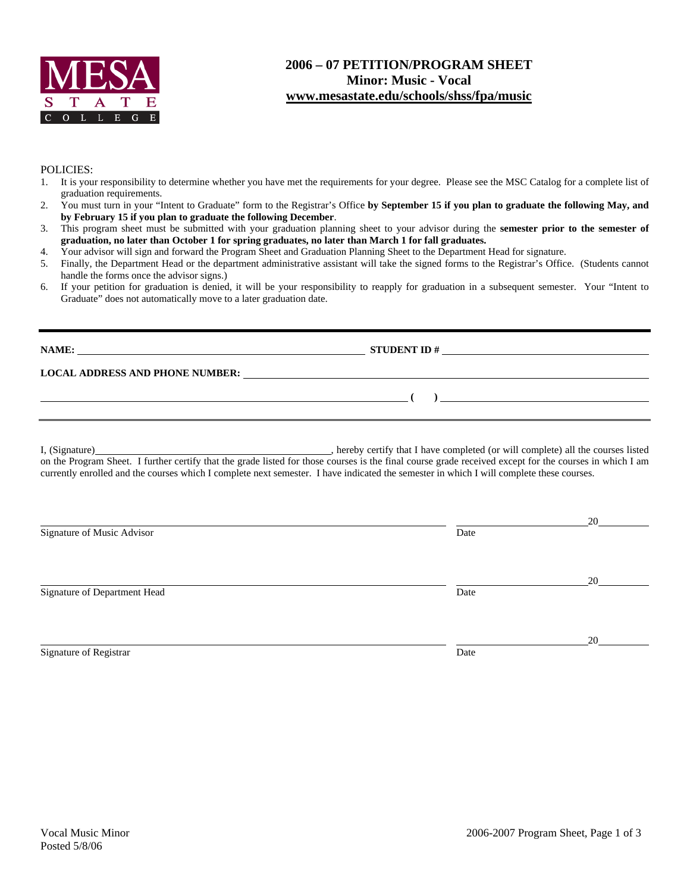

#### **2006 – 07 PETITION/PROGRAM SHEET Minor: Music - Vocal www.mesastate.edu/schools/shss/fpa/music**

#### POLICIES:

- 1. It is your responsibility to determine whether you have met the requirements for your degree. Please see the MSC Catalog for a complete list of graduation requirements.
- 2. You must turn in your "Intent to Graduate" form to the Registrar's Office **by September 15 if you plan to graduate the following May, and by February 15 if you plan to graduate the following December**.
- 3. This program sheet must be submitted with your graduation planning sheet to your advisor during the **semester prior to the semester of graduation, no later than October 1 for spring graduates, no later than March 1 for fall graduates.**
- 4. Your advisor will sign and forward the Program Sheet and Graduation Planning Sheet to the Department Head for signature.
- 5. Finally, the Department Head or the department administrative assistant will take the signed forms to the Registrar's Office. (Students cannot handle the forms once the advisor signs.)
- 6. If your petition for graduation is denied, it will be your responsibility to reapply for graduation in a subsequent semester. Your "Intent to Graduate" does not automatically move to a later graduation date.

| NAME:                                  | <b>STUDENT ID#</b>                                       |
|----------------------------------------|----------------------------------------------------------|
|                                        |                                                          |
| <b>LOCAL ADDRESS AND PHONE NUMBER:</b> | <u> 1989 - John Stone, amerikansk politiker (* 1989)</u> |
|                                        |                                                          |

I, (Signature) **Solution** , hereby certify that I have completed (or will complete) all the courses listed on the Program Sheet. I further certify that the grade listed for those courses is the final course grade received except for the courses in which I am currently enrolled and the courses which I complete next semester. I have indicated the semester in which I will complete these courses.

|                              |      | 20 |
|------------------------------|------|----|
| Signature of Music Advisor   | Date |    |
|                              |      |    |
|                              |      | 20 |
| Signature of Department Head | Date |    |
|                              |      |    |
|                              |      | 20 |
| Signature of Registrar       | Date |    |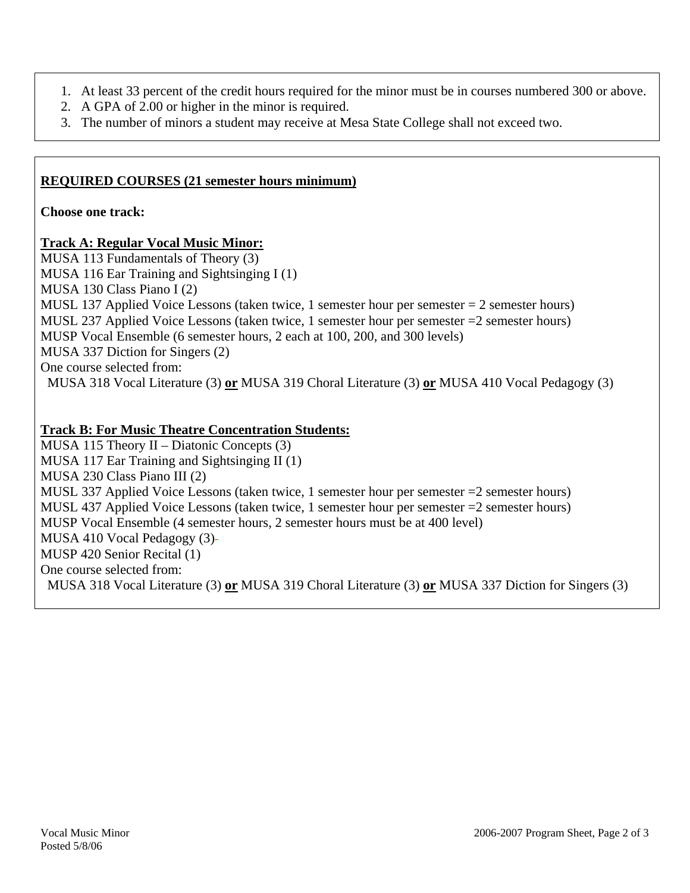- 1. At least 33 percent of the credit hours required for the minor must be in courses numbered 300 or above.
- 2. A GPA of 2.00 or higher in the minor is required.
- 3. The number of minors a student may receive at Mesa State College shall not exceed two.

## **REQUIRED COURSES (21 semester hours minimum)**

**Choose one track:** 

## **Track A: Regular Vocal Music Minor:**

MUSA 113 Fundamentals of Theory (3) MUSA 116 Ear Training and Sightsinging I (1) MUSA 130 Class Piano I (2) MUSL 137 Applied Voice Lessons (taken twice, 1 semester hour per semester  $= 2$  semester hours) MUSL 237 Applied Voice Lessons (taken twice, 1 semester hour per semester =2 semester hours) MUSP Vocal Ensemble (6 semester hours, 2 each at 100, 200, and 300 levels) MUSA 337 Diction for Singers (2) One course selected from: MUSA 318 Vocal Literature (3) **or** MUSA 319 Choral Literature (3) **or** MUSA 410 Vocal Pedagogy (3)

# **Track B: For Music Theatre Concentration Students:**

MUSA 115 Theory II – Diatonic Concepts (3) MUSA 117 Ear Training and Sightsinging II (1) MUSA 230 Class Piano III (2) MUSL 337 Applied Voice Lessons (taken twice, 1 semester hour per semester =2 semester hours) MUSL 437 Applied Voice Lessons (taken twice, 1 semester hour per semester =2 semester hours) MUSP Vocal Ensemble (4 semester hours, 2 semester hours must be at 400 level) MUSA 410 Vocal Pedagogy (3) MUSP 420 Senior Recital (1) One course selected from: MUSA 318 Vocal Literature (3) **or** MUSA 319 Choral Literature (3) **or** MUSA 337 Diction for Singers (3)